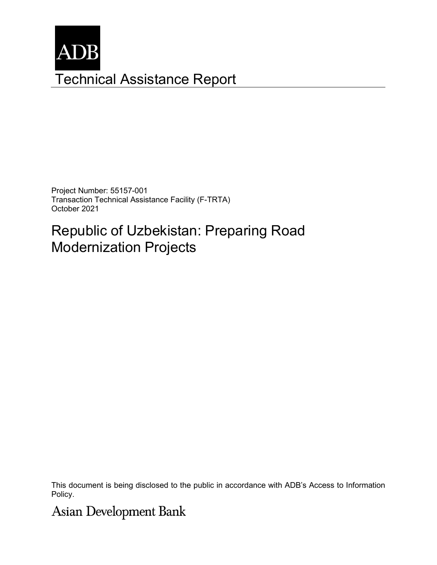

Project Number: 55157-001 Transaction Technical Assistance Facility (F-TRTA) October 2021

# Republic of Uzbekistan: Preparing Road Modernization Projects

This document is being disclosed to the public in accordance with ADB's Access to Information Policy.

**Asian Development Bank**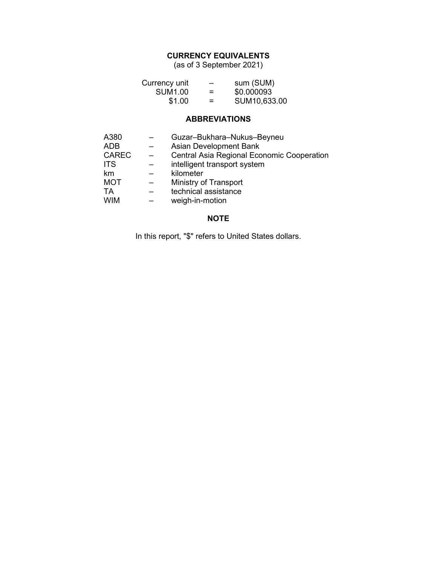## **CURRENCY EQUIVALENTS**

(as of 3 September 2021)

| Currency unit  | -        | sum (SUM)    |
|----------------|----------|--------------|
| <b>SUM1.00</b> | =        | \$0.000093   |
| \$1.00         | $\equiv$ | SUM10,633.00 |

### **ABBREVIATIONS**

| A380         | Guzar-Bukhara-Nukus-Beyneu                        |
|--------------|---------------------------------------------------|
| <b>ADB</b>   | Asian Development Bank                            |
| <b>CAREC</b> | <b>Central Asia Regional Economic Cooperation</b> |
| <b>ITS</b>   | intelligent transport system                      |
| km           | kilometer                                         |
| <b>MOT</b>   | Ministry of Transport                             |
| TA           | technical assistance                              |
| <b>WIM</b>   | weigh-in-motion                                   |

### **NOTE**

In this report, "\$" refers to United States dollars.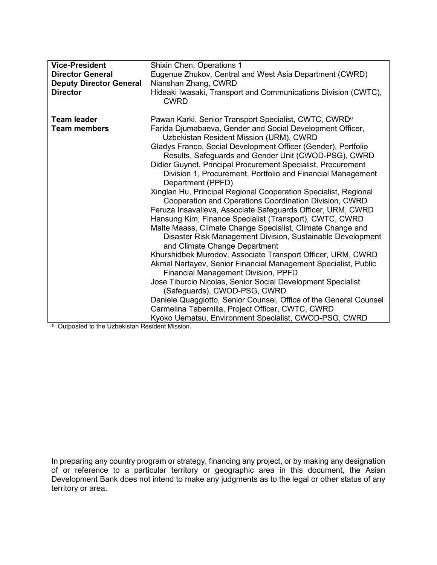| <b>Vice-President</b>          | Shixin Chen, Operations 1                                                                                                 |  |
|--------------------------------|---------------------------------------------------------------------------------------------------------------------------|--|
| <b>Director General</b>        | Eugenue Zhukov, Central and West Asia Department (CWRD)                                                                   |  |
| <b>Deputy Director General</b> | Nianshan Zhang, CWRD                                                                                                      |  |
| <b>Director</b>                |                                                                                                                           |  |
|                                | Hideaki Iwasaki, Transport and Communications Division (CWTC),<br><b>CWRD</b>                                             |  |
| <b>Team leader</b>             | Pawan Karki, Senior Transport Specialist, CWTC, CWRD <sup>a</sup>                                                         |  |
| <b>Team members</b>            | Farida Djumabaeva, Gender and Social Development Officer,<br>Uzbekistan Resident Mission (URM), CWRD                      |  |
|                                | Gladys Franco, Social Development Officer (Gender), Portfolio                                                             |  |
|                                | Results, Safeguards and Gender Unit (CWOD-PSG), CWRD                                                                      |  |
|                                | Didier Guynet, Principal Procurement Specialist, Procurement                                                              |  |
|                                | Division 1, Procurement, Portfolio and Financial Management                                                               |  |
|                                | Department (PPFD)                                                                                                         |  |
|                                | Xinglan Hu, Principal Regional Cooperation Specialist, Regional<br>Cooperation and Operations Coordination Division, CWRD |  |
|                                | Feruza Insavalieva, Associate Safeguards Officer, URM, CWRD                                                               |  |
|                                | Hansung Kim, Finance Specialist (Transport), CWTC, CWRD                                                                   |  |
|                                | Malte Maass, Climate Change Specialist, Climate Change and                                                                |  |
|                                | Disaster Risk Management Division, Sustainable Development                                                                |  |
|                                | and Climate Change Department                                                                                             |  |
|                                | Khurshidbek Murodov, Associate Transport Officer, URM, CWRD                                                               |  |
|                                | Akmal Nartayev, Senior Financial Management Specialist, Public                                                            |  |
|                                | <b>Financial Management Division, PPFD</b>                                                                                |  |
|                                | Jose Tiburcio Nicolas, Senior Social Development Specialist                                                               |  |
|                                | (Safeguards), CWOD-PSG, CWRD                                                                                              |  |
|                                | Daniele Quaggiotto, Senior Counsel, Office of the General Counsel                                                         |  |
|                                | Carmelina Tabernilla, Project Officer, CWTC, CWRD                                                                         |  |
|                                | Kyoko Uematsu, Environment Specialist, CWOD-PSG, CWRD                                                                     |  |

a Outposted to the Uzbekistan Resident Mission.

In preparing any country program or strategy, financing any project, or by making any designation of or reference to a particular territory or geographic area in this document, the Asian Development Bank does not intend to make any judgments as to the legal or other status of any territory or area.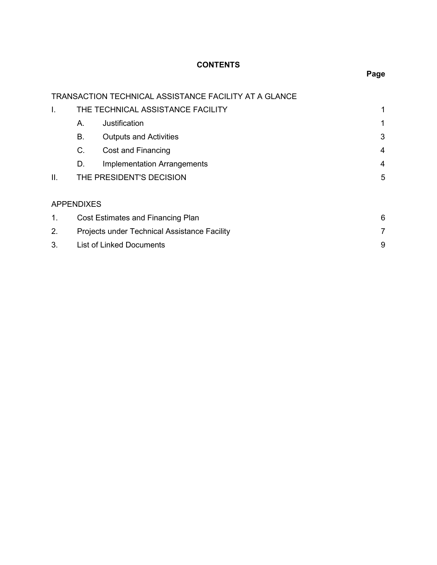## **CONTENTS**

|     |                   | TRANSACTION TECHNICAL ASSISTANCE FACILITY AT A GLANCE |   |
|-----|-------------------|-------------------------------------------------------|---|
| I.  |                   | THE TECHNICAL ASSISTANCE FACILITY                     | 1 |
|     | Α.                | Justification                                         | 1 |
|     | В.                | <b>Outputs and Activities</b>                         | 3 |
|     | C.                | Cost and Financing                                    | 4 |
|     | D.                | <b>Implementation Arrangements</b>                    | 4 |
| ΙΙ. |                   | THE PRESIDENT'S DECISION                              | 5 |
|     |                   |                                                       |   |
|     | <b>APPENDIXES</b> |                                                       |   |
| 1.  |                   | Cost Estimates and Financing Plan                     | 6 |
| 2.  |                   | Projects under Technical Assistance Facility          | 7 |
| 3.  |                   | <b>List of Linked Documents</b>                       | 9 |

## **Page**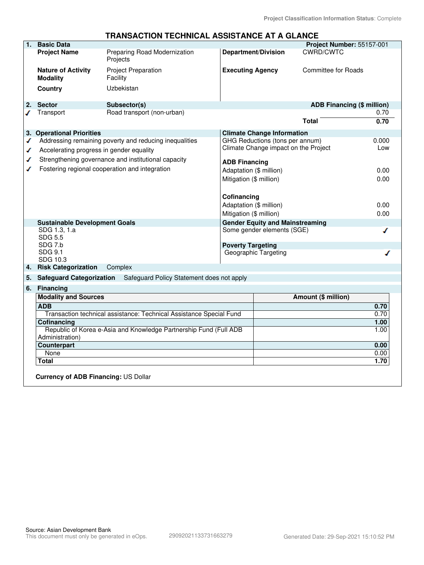|    |                                              | I NANJAU I UN TEUNINUAL AJJIJ I ANUE AT A ULANUE                    |                            |                                        |                            |       |
|----|----------------------------------------------|---------------------------------------------------------------------|----------------------------|----------------------------------------|----------------------------|-------|
| 1. | <b>Basic Data</b>                            |                                                                     |                            |                                        | Project Number: 55157-001  |       |
|    | <b>Project Name</b>                          | Preparing Road Modernization<br>Projects                            | <b>Department/Division</b> |                                        | CWRD/CWTC                  |       |
|    | <b>Nature of Activity</b><br><b>Modality</b> | <b>Project Preparation</b><br>Facility                              | <b>Executing Agency</b>    |                                        | <b>Committee for Roads</b> |       |
|    | Country                                      | Uzbekistan                                                          |                            |                                        |                            |       |
| 2. | <b>Sector</b>                                | Subsector(s)                                                        |                            |                                        | ADB Financing (\$ million) |       |
| ℐ  | Transport                                    | Road transport (non-urban)                                          |                            |                                        |                            | 0.70  |
|    |                                              |                                                                     |                            |                                        | <b>Total</b>               | 0.70  |
|    | 3. Operational Priorities                    |                                                                     |                            | <b>Climate Change Information</b>      |                            |       |
| ◢  |                                              | Addressing remaining poverty and reducing inequalities              |                            | GHG Reductions (tons per annum)        |                            | 0.000 |
| ✔  | Accelerating progress in gender equality     |                                                                     |                            | Climate Change impact on the Project   |                            | Low   |
| ✔  |                                              | Strengthening governance and institutional capacity                 | <b>ADB Financing</b>       |                                        |                            |       |
| ℐ  |                                              | Fostering regional cooperation and integration                      | Adaptation (\$ million)    |                                        |                            | 0.00  |
|    |                                              |                                                                     | Mitigation (\$ million)    |                                        |                            | 0.00  |
|    |                                              |                                                                     |                            |                                        |                            |       |
|    |                                              |                                                                     |                            |                                        |                            |       |
|    |                                              |                                                                     | Cofinancing                |                                        |                            |       |
|    |                                              |                                                                     | Adaptation (\$ million)    |                                        |                            | 0.00  |
|    |                                              |                                                                     | Mitigation (\$ million)    |                                        |                            | 0.00  |
|    | <b>Sustainable Development Goals</b>         |                                                                     |                            | <b>Gender Equity and Mainstreaming</b> |                            |       |
|    | SDG 1.3, 1.a<br><b>SDG 5.5</b>               |                                                                     |                            | Some gender elements (SGE)             |                            | ℐ     |
|    | SDG 7.b                                      |                                                                     | <b>Poverty Targeting</b>   |                                        |                            |       |
|    | SDG 9.1                                      |                                                                     | Geographic Targeting       |                                        |                            |       |
|    | SDG 10.3                                     |                                                                     |                            |                                        |                            |       |
| 4. | <b>Risk Categorization</b>                   | Complex                                                             |                            |                                        |                            |       |
| 5. | <b>Safeguard Categorization</b>              | Safeguard Policy Statement does not apply                           |                            |                                        |                            |       |
| 6. | <b>Financing</b>                             |                                                                     |                            |                                        |                            |       |
|    | <b>Modality and Sources</b>                  |                                                                     |                            |                                        | Amount (\$ million)        |       |
|    | <b>ADB</b>                                   |                                                                     |                            |                                        |                            | 0.70  |
|    |                                              | Transaction technical assistance: Technical Assistance Special Fund |                            |                                        |                            | 0.70  |
|    | <b>Cofinancing</b>                           |                                                                     |                            |                                        |                            | 1.00  |
|    | Administration)                              | Republic of Korea e-Asia and Knowledge Partnership Fund (Full ADB   |                            |                                        |                            | 1.00  |
|    | <b>Counterpart</b>                           |                                                                     |                            |                                        |                            | 0.00  |
|    | None                                         |                                                                     |                            |                                        |                            | 0.00  |
|    | <b>Total</b>                                 |                                                                     |                            |                                        |                            | 1.70  |
|    | <b>Currency of ADB Financing: US Dollar</b>  |                                                                     |                            |                                        |                            |       |
|    |                                              |                                                                     |                            |                                        |                            |       |

## **TRANSACTION TECHNICAL ASSISTANCE AT A GLANCE**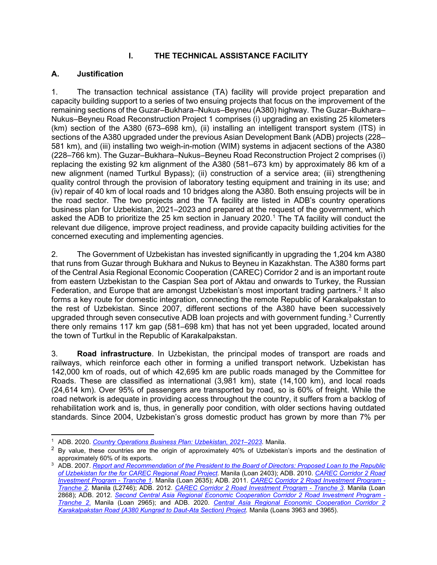## **I. THE TECHNICAL ASSISTANCE FACILITY**

## <span id="page-5-1"></span><span id="page-5-0"></span>**A. Justification**

1. The transaction technical assistance (TA) facility will provide project preparation and capacity building support to a series of two ensuing projects that focus on the improvement of the remaining sections of the Guzar–Bukhara–Nukus–Beyneu (A380) highway. The Guzar–Bukhara– Nukus–Beyneu Road Reconstruction Project 1 comprises (i) upgrading an existing 25 kilometers (km) section of the A380 (673–698 km), (ii) installing an intelligent transport system (ITS) in sections of the A380 upgraded under the previous Asian Development Bank (ADB) projects (228– 581 km), and (iii) installing two weigh-in-motion (WIM) systems in adjacent sections of the A380 (228–766 km). The Guzar–Bukhara–Nukus–Beyneu Road Reconstruction Project 2 comprises (i) replacing the existing 92 km alignment of the A380 (581–673 km) by approximately 86 km of a new alignment (named Turtkul Bypass); (ii) construction of a service area; (iii) strengthening quality control through the provision of laboratory testing equipment and training in its use; and (iv) repair of 40 km of local roads and 10 bridges along the A380. Both ensuing projects will be in the road sector. The two projects and the TA facility are listed in ADB's country operations business plan for Uzbekistan, 2021–2023 and prepared at the request of the government, which asked the ADB to prioritize the 25 km section in January 2020.<sup>[1](#page-5-2)</sup> The TA facility will conduct the relevant due diligence, improve project readiness, and provide capacity building activities for the concerned executing and implementing agencies.

2. The Government of Uzbekistan has invested significantly in upgrading the 1,204 km A380 that runs from Guzar through Bukhara and Nukus to Beyneu in Kazakhstan. The A380 forms part of the Central Asia Regional Economic Cooperation (CAREC) Corridor 2 and is an important route from eastern Uzbekistan to the Caspian Sea port of Aktau and onwards to Turkey, the Russian Federation, and Europe that are amongst Uzbekistan's most important trading partners.<sup>[2](#page-5-3)</sup> It also forms a key route for domestic integration, connecting the remote Republic of Karakalpakstan to the rest of Uzbekistan. Since 2007, different sections of the A380 have been successively upgraded through seven consecutive ADB loan projects and with government funding.<sup>[3](#page-5-4)</sup> Currently there only remains 117 km gap (581–698 km) that has not yet been upgraded, located around the town of Turtkul in the Republic of Karakalpakstan.

3. **Road infrastructure**. In Uzbekistan, the principal modes of transport are roads and railways, which reinforce each other in forming a unified transport network. Uzbekistan has 142,000 km of roads, out of which 42,695 km are public roads managed by the Committee for Roads. These are classified as international (3,981 km), state (14,100 km), and local roads (24,614 km). Over 95% of passengers are transported by road, so is 60% of freight. While the road network is adequate in providing access throughout the country, it suffers from a backlog of rehabilitation work and is, thus, in generally poor condition, with older sections having outdated standards. Since 2004, Uzbekistan's gross domestic product has grown by more than 7% per

<span id="page-5-2"></span><sup>1</sup> ADB. 2020. *[Country Operations Business Plan: Uzbekistan, 2021–2023.](https://www.adb.org/sites/default/files/institutional-document/646446/cobp-uzb-2021-2023.pdf)* Manila.

<span id="page-5-3"></span><sup>&</sup>lt;sup>2</sup> By value, these countries are the origin of approximately 40% of Uzbekistan's imports and the destination of approximately 60% of its exports.

<span id="page-5-4"></span><sup>&</sup>lt;sup>3</sup> ADB. 2007. *Report and Recommendation of the President to the Board of Directors: Proposed Loan to the Republic [of Uzbekistan for the for CAREC Regional Road Project.](https://www.adb.org/sites/default/files/project-document/65603/39669-uzb-rrp.pdf)* Manila (Loan 2403); ADB. 2010. *[CAREC Corridor 2 Road](https://www.adb.org/projects/42107-023/main)  [Investment Program -](https://www.adb.org/projects/42107-023/main) Tranche 1*. Manila (Loan 2635); ADB. 2011. *[CAREC Corridor 2 Road Investment Program -](https://www.adb.org/projects/42107-033/main) [Tranche 2.](https://www.adb.org/projects/42107-033/main)* Manila (L2746); ADB. 2012. *[CAREC Corridor 2 Road Investment Program -](https://www.adb.org/projects/42107-043/main) Tranche 3*. Manila (Loan 2868); ADB. 2012. *[Second Central Asia Regional Economic Cooperation Corridor 2 Road Investment Program -](https://www.adb.org/projects/44483-026/main) [Tranche 2](https://www.adb.org/projects/44483-026/main)*. Manila (Loan 2965); and ADB. 2020. *[Central Asia Regional Economic Cooperation Corridor 2](https://www.adb.org/projects/48414-006/main)  [Karakalpakstan Road \(A380 Kungrad to Daut-Ata Section\) Project.](https://www.adb.org/projects/48414-006/main)* Manila (Loans 3963 and 3965).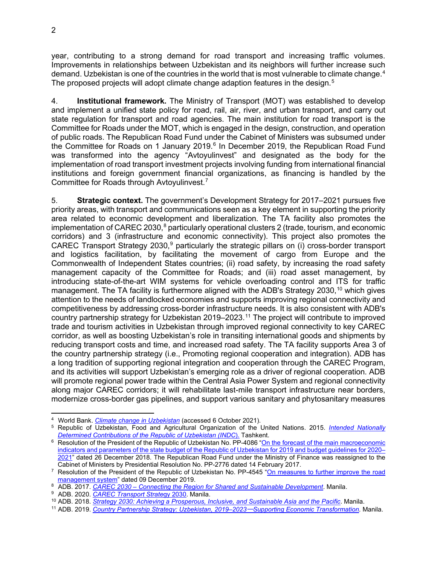year, contributing to a strong demand for road transport and increasing traffic volumes. Improvements in relationships between Uzbekistan and its neighbors will further increase such demand. Uzbekistan is one of the countries in the world that is most vulnerable to climate change. $^{\rm 4}$  $^{\rm 4}$  $^{\rm 4}$ The proposed projects will adopt climate change adaption features in the design.<sup>[5](#page-6-1)</sup>

4. **Institutional framework.** The Ministry of Transport (MOT) was established to develop and implement a unified state policy for road, rail, air, river, and urban transport, and carry out state regulation for transport and road agencies. The main institution for road transport is the Committee for Roads under the MOT, which is engaged in the design, construction, and operation of public roads. The Republican Road Fund under the Cabinet of Ministers was subsumed under the Committee for Roads on 1 January 2019. $6$  In December 2019, the Republican Road Fund was transformed into the agency "Avtoyulinvest" and designated as the body for the implementation of road transport investment projects involving funding from international financial institutions and foreign government financial organizations, as financing is handled by the Committee for Roads through Avtoyulinvest.<sup>[7](#page-6-3)</sup>

5. **Strategic context.** The government's Development Strategy for 2017–2021 pursues five priority areas, with transport and communications seen as a key element in supporting the priority area related to economic development and liberalization. The TA facility also promotes the implementation of CAREC 2030,<sup>[8](#page-6-4)</sup> particularly operational clusters 2 (trade, tourism, and economic corridors) and 3 (infrastructure and economic connectivity). This project also promotes the CAREC Transport Strategy 2030,<sup>[9](#page-6-5)</sup> particularly the strategic pillars on (i) cross-border transport and logistics facilitation, by facilitating the movement of cargo from Europe and the Commonwealth of Independent States countries; (ii) road safety, by increasing the road safety management capacity of the Committee for Roads; and (iii) road asset management, by introducing state-of-the-art WIM systems for vehicle overloading control and ITS for traffic management. The TA facility is furthermore aligned with the ADB's Strategy 2030,<sup>[10](#page-6-6)</sup> which gives attention to the needs of landlocked economies and supports improving regional connectivity and competitiveness by addressing cross-border infrastructure needs. It is also consistent with ADB's country partnership strategy for Uzbekistan 2019–2023. [11](#page-6-7) The project will contribute to improved trade and tourism activities in Uzbekistan through improved regional connectivity to key CAREC corridor, as well as boosting Uzbekistan's role in transiting international goods and shipments by reducing transport costs and time, and increased road safety. The TA facility supports Area 3 of the country partnership strategy (i.e., Promoting regional cooperation and integration). ADB has a long tradition of supporting regional integration and cooperation through the CAREC Program, and its activities will support Uzbekistan's emerging role as a driver of regional cooperation. ADB will promote regional power trade within the Central Asia Power System and regional connectivity along major CAREC corridors; it will rehabilitate last-mile transport infrastructure near borders, modernize cross-border gas pipelines, and support various sanitary and phytosanitary measures

<span id="page-6-0"></span><sup>4</sup> World Bank. *[Climate change in Uzbekistan](https://zoinet.org/wp-content/uploads/2018/01/UZB-climate-summary-en.pdf)* (accessed 6 October 2021).

<span id="page-6-1"></span><sup>5</sup> Republic of Uzbekistan, Food and Agricultural Organization of the United Nations. 2015. *[Intended Nationally](https://www4.unfccc.int/sites/ndcstaging/PublishedDocuments/Uzbekistan%20First/INDC%20Uzbekistan%2018-04-2017_Eng.pdf)  [Determined Contributions of the Republic of Uzbekistan \(INDC](https://www4.unfccc.int/sites/ndcstaging/PublishedDocuments/Uzbekistan%20First/INDC%20Uzbekistan%2018-04-2017_Eng.pdf)*). Tashkent.

<span id="page-6-2"></span><sup>&</sup>lt;sup>6</sup> [Resolution of the President of the Republic of Uzbekistan No. PP-4086](https://cis-legislation.com/document.fwx?rgn=112592) "On the forecast of the main macroeconomic [indicators and parameters of the state budget of the Republic of Uzbekistan for 2019 and budget guidelines for 2020–](https://lex.uz/pdfs/4131693) [2021"](https://lex.uz/pdfs/4131693) dated 26 December 2018. The Republican Road Fund under the Ministry of Finance was reassigned to the

<span id="page-6-3"></span>Cabinet of Ministers by Presidential Resolution No. PP-2776 dated 14 February 2017.<br><sup>7</sup> Resolution of the President of the Republic of Uzbekistan No. PP-4545 "On measures to further improve the road<br>management system" date

<span id="page-6-4"></span><sup>&</sup>lt;sup>8</sup> ADB. 2017. *CAREC 2030 – [Connecting the Region for Shared and Sustainable Development](https://www.carecprogram.org/uploads/2017-CAREC-2030.pdf)*. Manila.

<span id="page-6-5"></span><sup>9</sup> ADB. 2020. *[CAREC Transport Strate](https://www.adb.org/sites/default/files/institutional-document/559456/carec-transport-strategy-2030.pdf)*gy 2030. Manila.

<sup>10</sup> ADB. 2018. *[Strategy 2030: Achieving a Prosperous, Inclusive, and Sustainable Asia and the Pacific](https://www.adb.org/sites/default/files/institutional-document/435391/strategy-2030-main-document.pdf)*. Manila.

<span id="page-6-7"></span><span id="page-6-6"></span><sup>11</sup> ADB. 2019. *[Country Partnership Strategy: Uzbekistan, 2019–2023](https://www.adb.org/sites/default/files/institutional-document/510251/cps-uzb-2019-2023.pdf)*─*Supporting Economic Transformation*. Manila.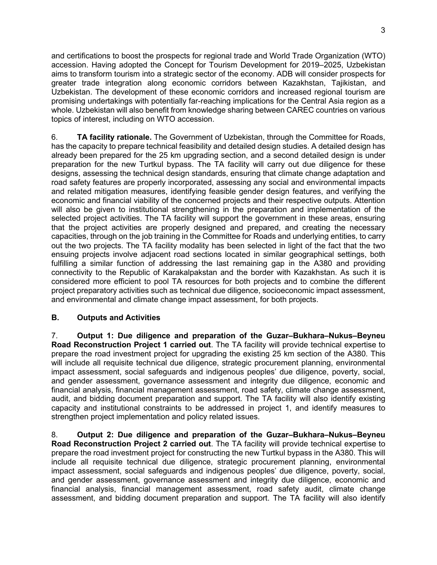and certifications to boost the prospects for regional trade and World Trade Organization (WTO) accession. Having adopted the Concept for Tourism Development for 2019–2025, Uzbekistan aims to transform tourism into a strategic sector of the economy. ADB will consider prospects for greater trade integration along economic corridors between Kazakhstan, Tajikistan, and Uzbekistan. The development of these economic corridors and increased regional tourism are promising undertakings with potentially far-reaching implications for the Central Asia region as a whole. Uzbekistan will also benefit from knowledge sharing between CAREC countries on various topics of interest, including on WTO accession.

6. **TA facility rationale.** The Government of Uzbekistan, through the Committee for Roads, has the capacity to prepare technical feasibility and detailed design studies. A detailed design has already been prepared for the 25 km upgrading section, and a second detailed design is under preparation for the new Turtkul bypass. The TA facility will carry out due diligence for these designs, assessing the technical design standards, ensuring that climate change adaptation and road safety features are properly incorporated, assessing any social and environmental impacts and related mitigation measures, identifying feasible gender design features, and verifying the economic and financial viability of the concerned projects and their respective outputs. Attention will also be given to institutional strengthening in the preparation and implementation of the selected project activities. The TA facility will support the government in these areas, ensuring that the project activities are properly designed and prepared, and creating the necessary capacities, through on the job training in the Committee for Roads and underlying entities, to carry out the two projects. The TA facility modality has been selected in light of the fact that the two ensuing projects involve adjacent road sections located in similar geographical settings, both fulfilling a similar function of addressing the last remaining gap in the A380 and providing connectivity to the Republic of Karakalpakstan and the border with Kazakhstan. As such it is considered more efficient to pool TA resources for both projects and to combine the different project preparatory activities such as technical due diligence, socioeconomic impact assessment, and environmental and climate change impact assessment, for both projects.

## <span id="page-7-0"></span>**B. Outputs and Activities**

7. **Output 1: Due diligence and preparation of the Guzar–Bukhara–Nukus–Beyneu Road Reconstruction Project 1 carried out**. The TA facility will provide technical expertise to prepare the road investment project for upgrading the existing 25 km section of the A380. This will include all requisite technical due diligence, strategic procurement planning, environmental impact assessment, social safeguards and indigenous peoples' due diligence, poverty, social, and gender assessment, governance assessment and integrity due diligence, economic and financial analysis, financial management assessment, road safety, climate change assessment, audit, and bidding document preparation and support. The TA facility will also identify existing capacity and institutional constraints to be addressed in project 1, and identify measures to strengthen project implementation and policy related issues.

8. **Output 2: Due diligence and preparation of the Guzar–Bukhara–Nukus–Beyneu Road Reconstruction Project 2 carried out**. The TA facility will provide technical expertise to prepare the road investment project for constructing the new Turtkul bypass in the A380. This will include all requisite technical due diligence, strategic procurement planning, environmental impact assessment, social safeguards and indigenous peoples' due diligence, poverty, social, and gender assessment, governance assessment and integrity due diligence, economic and financial analysis, financial management assessment, road safety audit, climate change assessment, and bidding document preparation and support. The TA facility will also identify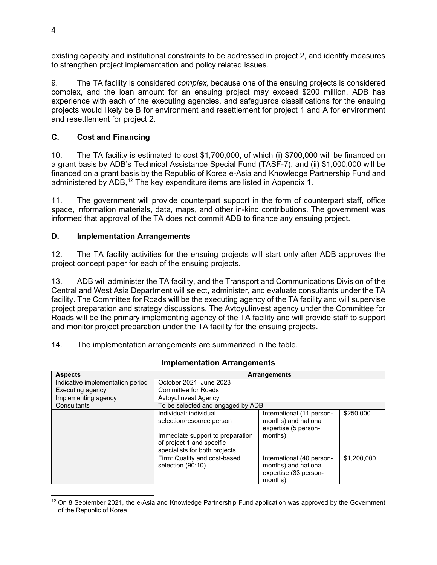existing capacity and institutional constraints to be addressed in project 2, and identify measures to strengthen project implementation and policy related issues.

9. The TA facility is considered *complex,* because one of the ensuing projects is considered complex, and the loan amount for an ensuing project may exceed \$200 million. ADB has experience with each of the executing agencies, and safeguards classifications for the ensuing projects would likely be B for environment and resettlement for project 1 and A for environment and resettlement for project 2.

## <span id="page-8-0"></span>**C. Cost and Financing**

10. The TA facility is estimated to cost \$1,700,000, of which (i) \$700,000 will be financed on a grant basis by ADB's Technical Assistance Special Fund (TASF-7), and (ii) \$1,000,000 will be financed on a grant basis by the Republic of Korea e-Asia and Knowledge Partnership Fund and administered by ADB,<sup>[12](#page-8-2)</sup> The key expenditure items are listed in Appendix 1.

11. The government will provide counterpart support in the form of counterpart staff, office space, information materials, data, maps, and other in-kind contributions. The government was informed that approval of the TA does not commit ADB to finance any ensuing project.

#### <span id="page-8-1"></span>**D. Implementation Arrangements**

12. The TA facility activities for the ensuing projects will start only after ADB approves the project concept paper for each of the ensuing projects.

13. ADB will administer the TA facility, and the Transport and Communications Division of the Central and West Asia Department will select, administer, and evaluate consultants under the TA facility. The Committee for Roads will be the executing agency of the TA facility and will supervise project preparation and strategy discussions. The Avtoyulinvest agency under the Committee for Roads will be the primary implementing agency of the TA facility and will provide staff to support and monitor project preparation under the TA facility for the ensuing projects.

14. The implementation arrangements are summarized in the table.

| <b>Aspects</b>                   |                                                                                                                                                       | <b>Arrangements</b>                                                                   |             |
|----------------------------------|-------------------------------------------------------------------------------------------------------------------------------------------------------|---------------------------------------------------------------------------------------|-------------|
| Indicative implementation period | October 2021-June 2023                                                                                                                                |                                                                                       |             |
| Executing agency                 | <b>Committee for Roads</b>                                                                                                                            |                                                                                       |             |
| Implementing agency              | Avtoyulinvest Agency                                                                                                                                  |                                                                                       |             |
| Consultants                      | To be selected and engaged by ADB                                                                                                                     |                                                                                       |             |
|                                  | Individual: individual<br>selection/resource person<br>Immediate support to preparation<br>of project 1 and specific<br>specialists for both projects | International (11 person-<br>months) and national<br>expertise (5 person-<br>months)  | \$250,000   |
|                                  | Firm: Quality and cost-based<br>selection (90:10)                                                                                                     | International (40 person-<br>months) and national<br>expertise (33 person-<br>months) | \$1.200.000 |

#### **Implementation Arrangements**

<span id="page-8-2"></span> $12$  On 8 September 2021, the e-Asia and Knowledge Partnership Fund application was approved by the Government of the Republic of Korea.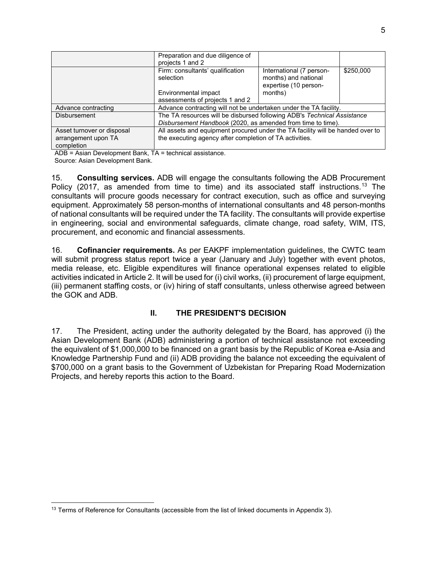|                                   | Preparation and due diligence of<br>projects 1 and 2                                                                                   |                                                                                      |           |
|-----------------------------------|----------------------------------------------------------------------------------------------------------------------------------------|--------------------------------------------------------------------------------------|-----------|
|                                   | Firm: consultants' qualification<br>selection<br>Environmental impact                                                                  | International (7 person-<br>months) and national<br>expertise (10 person-<br>months) | \$250,000 |
|                                   | assessments of projects 1 and 2                                                                                                        |                                                                                      |           |
| Advance contracting               | Advance contracting will not be undertaken under the TA facility.                                                                      |                                                                                      |           |
| <b>Disbursement</b>               | The TA resources will be disbursed following ADB's Technical Assistance<br>Disbursement Handbook (2020, as amended from time to time). |                                                                                      |           |
| Asset turnover or disposal        | All assets and equipment procured under the TA facility will be handed over to                                                         |                                                                                      |           |
| arrangement upon TA<br>completion | the executing agency after completion of TA activities.                                                                                |                                                                                      |           |

ADB = Asian Development Bank, TA = technical assistance.

Source: Asian Development Bank.

15. **Consulting services.** ADB will engage the consultants following the ADB Procurement Policy (2017, as amended from time to time) and its associated staff instructions.<sup>[13](#page-9-1)</sup> The consultants will procure goods necessary for contract execution, such as office and surveying equipment. Approximately 58 person-months of international consultants and 48 person-months of national consultants will be required under the TA facility. The consultants will provide expertise in engineering, social and environmental safeguards, climate change, road safety, WIM, ITS, procurement, and economic and financial assessments.

16. **Cofinancier requirements.** As per EAKPF implementation guidelines, the CWTC team will submit progress status report twice a year (January and July) together with event photos, media release, etc. Eligible expenditures will finance operational expenses related to eligible activities indicated in Article 2. It will be used for (i) civil works, (ii) procurement of large equipment, (iii) permanent staffing costs, or (iv) hiring of staff consultants, unless otherwise agreed between the GOK and ADB.

## **II. THE PRESIDENT'S DECISION**

<span id="page-9-0"></span>17. The President, acting under the authority delegated by the Board, has approved (i) the Asian Development Bank (ADB) administering a portion of technical assistance not exceeding the equivalent of \$1,000,000 to be financed on a grant basis by the Republic of Korea e-Asia and Knowledge Partnership Fund and (ii) ADB providing the balance not exceeding the equivalent of \$700,000 on a grant basis to the Government of Uzbekistan for Preparing Road Modernization Projects, and hereby reports this action to the Board.

<span id="page-9-1"></span> $13$  Terms of Reference for Consultants (accessible from the list of linked documents in Appendix 3).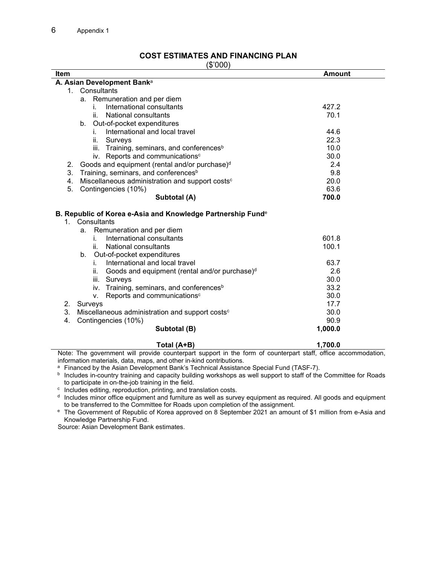#### **COST ESTIMATES AND FINANCING PLAN** (\$'000)

 $\overline{\phantom{a}}$ 

<span id="page-10-0"></span>

| ψ υυυ μ<br><b>Item</b>                                            | <b>Amount</b> |
|-------------------------------------------------------------------|---------------|
| A. Asian Development Banka                                        |               |
| 1. Consultants                                                    |               |
| a. Remuneration and per diem                                      |               |
| International consultants<br>i.                                   | 427.2         |
| National consultants<br>II.                                       | 70.1          |
| b. Out-of-pocket expenditures                                     |               |
| International and local travel<br>i.                              | 44.6          |
| ii.<br>Surveys                                                    | 22.3          |
| iii.<br>Training, seminars, and conferences <sup>b</sup>          | 10.0          |
| iv. Reports and communications <sup>c</sup>                       | 30.0          |
| Goods and equipment (rental and/or purchase) <sup>d</sup><br>2.   | 2.4           |
| Training, seminars, and conferences <sup>b</sup><br>3.            | 9.8           |
| Miscellaneous administration and support costs <sup>c</sup><br>4. | 20.0          |
| 5.<br>Contingencies (10%)                                         | 63.6          |
| Subtotal (A)                                                      | 700.0         |
| B. Republic of Korea e-Asia and Knowledge Partnership Funde       |               |
| 1. Consultants                                                    |               |
| Remuneration and per diem<br>а.                                   |               |
| International consultants<br>i.                                   | 601.8         |
| National consultants<br>ii.                                       | 100.1         |
| Out-of-pocket expenditures<br>b.                                  |               |
| International and local travel<br>i.                              | 63.7          |
| ii.<br>Goods and equipment (rental and/or purchase) <sup>d</sup>  | 2.6           |
| iii.<br>Surveys                                                   | 30.0          |
| Training, seminars, and conferences <sup>b</sup><br>iv.           | 33.2          |
| Reports and communications <sup>c</sup><br>V.                     | 30.0          |
| 2.<br>Surveys                                                     | 17.7          |
| 3.<br>Miscellaneous administration and support costs <sup>c</sup> | 30.0          |
| Contingencies (10%)<br>4.                                         | 90.9          |
| Subtotal (B)                                                      | 1,000.0       |
|                                                                   |               |

**Total (A+B) 1,700.0** Note: The government will provide counterpart support in the form of counterpart staff, office accommodation, information materials, data, maps, and other in-kind contributions.

<sup>a</sup> Financed by the Asian Development Bank's Technical Assistance Special Fund (TASF-7).

**b** Includes in-country training and capacity building workshops as well support to staff of the Committee for Roads to participate in on-the-job training in the field.

<sup>c</sup> Includes editing, reproduction, printing, and translation costs.

 $d$  Includes minor office equipment and furniture as well as survey equipment as required. All goods and equipment to be transferred to the Committee for Roads upon completion of the assignment.

<sup>e</sup> The Government of Republic of Korea approved on 8 September 2021 an amount of \$1 million from e-Asia and Knowledge Partnership Fund.

Source: Asian Development Bank estimates.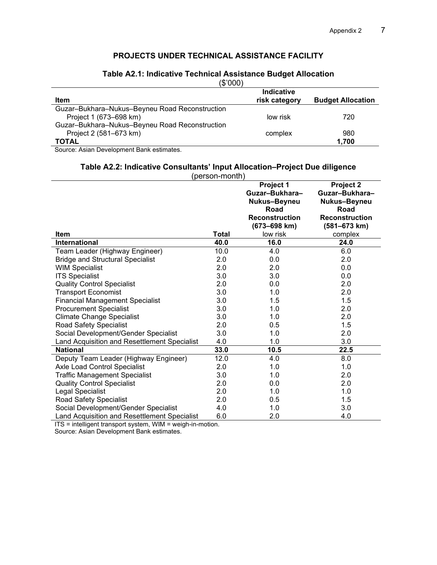## **PROJECTS UNDER TECHNICAL ASSISTANCE FACILITY**

#### **Table A2.1: Indicative Technical Assistance Budget Allocation**

(\$'000)

|                                                | Indicative    |                          |
|------------------------------------------------|---------------|--------------------------|
| <b>Item</b>                                    | risk category | <b>Budget Allocation</b> |
| Guzar-Bukhara-Nukus-Beyneu Road Reconstruction |               |                          |
| Project 1 (673–698 km)                         | low risk      | 720                      |
| Guzar-Bukhara-Nukus-Beyneu Road Reconstruction |               |                          |
| Project 2 (581-673 km)                         | complex       | 980                      |
| <b>TOTAL</b>                                   |               | 1.700                    |

Source: Asian Development Bank estimates.

#### **Table A2.2: Indicative Consultants' Input Allocation–Project Due diligence**

| (person-month)                                      |       |                       |                             |  |
|-----------------------------------------------------|-------|-----------------------|-----------------------------|--|
|                                                     |       | Project 1             | Project 2                   |  |
|                                                     |       | Guzar-Bukhara-        | Guzar-Bukhara-              |  |
|                                                     |       | Nukus-Beyneu<br>Road  | Nukus-Beyneu<br><b>Road</b> |  |
|                                                     |       | <b>Reconstruction</b> | <b>Reconstruction</b>       |  |
|                                                     |       | (673-698 km)          | (581-673 km)                |  |
| <b>Item</b>                                         | Total | low risk              | complex                     |  |
| International                                       | 40.0  | 16.0                  | 24.0                        |  |
| Team Leader (Highway Engineer)                      | 10.0  | 4.0                   | 6.0                         |  |
| <b>Bridge and Structural Specialist</b>             | 2.0   | 0.0                   | 2.0                         |  |
| <b>WIM Specialist</b>                               | 2.0   | 2.0                   | 0.0                         |  |
| <b>ITS Specialist</b>                               | 3.0   | 3.0                   | 0.0                         |  |
| <b>Quality Control Specialist</b>                   | 2.0   | 0.0                   | 2.0                         |  |
| <b>Transport Economist</b>                          | 3.0   | 1.0                   | 2.0                         |  |
| <b>Financial Management Specialist</b>              | 3.0   | 1.5                   | 1.5                         |  |
| <b>Procurement Specialist</b>                       | 3.0   | 1.0                   | 2.0                         |  |
| <b>Climate Change Specialist</b>                    | 3.0   | 1.0                   | 2.0                         |  |
| Road Safety Specialist                              | 2.0   | 0.5                   | 1.5                         |  |
| Social Development/Gender Specialist                | 3.0   | 1.0                   | 2.0                         |  |
| Land Acquisition and Resettlement Specialist        | 4.0   | 1.0                   | 3.0                         |  |
| <b>National</b>                                     | 33.0  | 10.5                  | 22.5                        |  |
| Deputy Team Leader (Highway Engineer)               | 12.0  | 4.0                   | 8.0                         |  |
| Axle Load Control Specialist                        | 2.0   | 1.0                   | 1.0                         |  |
| <b>Traffic Management Specialist</b>                | 3.0   | 1.0                   | 2.0                         |  |
| <b>Quality Control Specialist</b>                   | 2.0   | 0.0                   | 2.0                         |  |
| Legal Specialist                                    | 2.0   | 1.0                   | 1.0                         |  |
| <b>Road Safety Specialist</b>                       | 2.0   | 0.5                   | 1.5                         |  |
| Social Development/Gender Specialist                | 4.0   | 1.0                   | 3.0                         |  |
| <b>Land Acquisition and Resettlement Specialist</b> | 6.0   | 2.0                   | 4.0                         |  |

ITS = intelligent transport system, WIM = weigh-in-motion.

Source: Asian Development Bank estimates.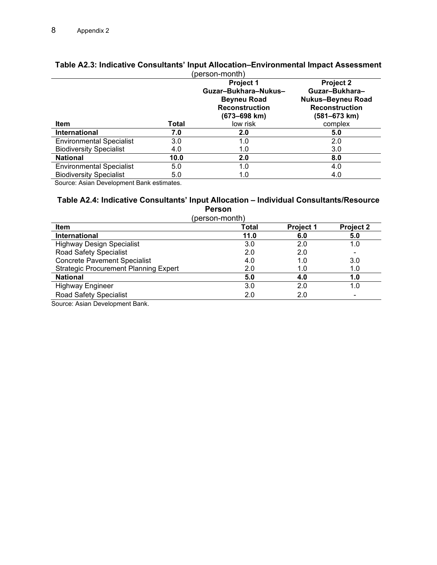|                                 |       | (person-montn)<br><b>Project 1</b><br>Guzar-Bukhara-Nukus-<br><b>Beyneu Road</b><br><b>Reconstruction</b><br>$(673 - 698$ km) | <b>Project 2</b><br>Guzar-Bukhara-<br><b>Nukus-Beyneu Road</b><br><b>Reconstruction</b><br>(581–673 km) |
|---------------------------------|-------|-------------------------------------------------------------------------------------------------------------------------------|---------------------------------------------------------------------------------------------------------|
| Item                            | Total | low risk                                                                                                                      | complex                                                                                                 |
| <b>International</b>            | 7.0   | 2.0                                                                                                                           | 5.0                                                                                                     |
| <b>Environmental Specialist</b> | 3.0   | 1.0                                                                                                                           | 2.0                                                                                                     |
| <b>Biodiversity Specialist</b>  | 4.0   | 1.0                                                                                                                           | 3.0                                                                                                     |
| <b>National</b>                 | 10.0  | 2.0                                                                                                                           | 8.0                                                                                                     |
| <b>Environmental Specialist</b> | 5.0   | 1.0                                                                                                                           | 4.0                                                                                                     |
| <b>Biodiversity Specialist</b>  | 5.0   | 1.0                                                                                                                           | 4.0                                                                                                     |

#### **Table A2.3: Indicative Consultants' Input Allocation–Environmental Impact Assessment** (person-month)

Source: Asian Development Bank estimates.

#### **Table A2.4: Indicative Consultants' Input Allocation – Individual Consultants/Resource Person**

(person-month)

| <b>Item</b>                                  | Total | <b>Project 1</b> | <b>Project 2</b> |
|----------------------------------------------|-------|------------------|------------------|
| <b>International</b>                         | 11.0  | 6.0              | 5.0              |
| <b>Highway Design Specialist</b>             | 3.0   | 2.0              | 1.0              |
| <b>Road Safety Specialist</b>                | 2.0   | 2.0              |                  |
| <b>Concrete Pavement Specialist</b>          | 4.0   | 1.0              | 3.0              |
| <b>Strategic Procurement Planning Expert</b> | 2.0   | 1.0              | 1.0              |
| <b>National</b>                              | 5.0   | 4.0              | 1.0              |
| <b>Highway Engineer</b>                      | 3.0   | 2.0              | 1.0              |
| <b>Road Safety Specialist</b>                | 2.0   | 2.0              |                  |

Source: Asian Development Bank.